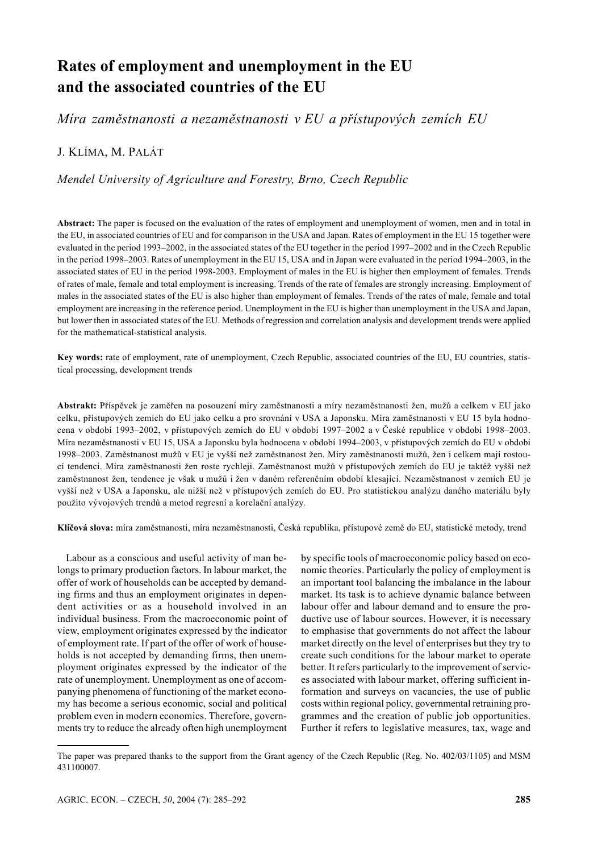# **Rates of employment and unemployment in the EU and the associated countries of the EU**

*Míra zaměstnanosti a nezaměstnanosti v EU a přístupových zemích EU*

J. KLÍMA, M. PALÁT

*Mendel University of Agriculture and Forestry, Brno, Czech Republic*

**Abstract:** The paper is focused on the evaluation of the rates of employment and unemployment of women, men and in total in the EU, in associated countries of EU and for comparison in the USA and Japan. Rates of employment in the EU 15 together were evaluated in the period 1993–2002, in the associated states of the EU together in the period 1997–2002 and in the Czech Republic in the period 1998–2003. Rates of unemployment in the EU 15, USA and in Japan were evaluated in the period 1994–2003, in the associated states of EU in the period 1998-2003. Employment of males in the EU is higher then employment of females. Trends of rates of male, female and total employment is increasing. Trends of the rate of females are strongly increasing. Employment of males in the associated states of the EU is also higher than employment of females. Trends of the rates of male, female and total employment are increasing in the reference period. Unemployment in the EU is higher than unemployment in the USA and Japan, but lower then in associated states of the EU. Methods of regression and correlation analysis and development trends were applied for the mathematical-statistical analysis.

**Key words:** rate of employment, rate of unemployment, Czech Republic, associated countries of the EU, EU countries, statistical processing, development trends

**Abstrakt:** Příspěvek je zaměřen na posouzení míry zaměstnanosti a míry nezaměstnanosti žen, mužů a celkem v EU jako celku, přístupových zemích do EU jako celku a pro srovnání v USA a Japonsku. Míra zaměstnanosti v EU 15 byla hodnocena v období 1993–2002, v přístupových zemích do EU v období 1997–2002 a v České republice v období 1998–2003. Míra nezaměstnanosti v EU 15, USA a Japonsku byla hodnocena v období 1994–2003, v přístupových zemích do EU v období 1998–2003. Zaměstnanost mužů v EU je vyšší než zaměstnanost žen. Míry zaměstnanosti mužů, žen i celkem mají rostoucí tendenci. Míra zaměstnanosti žen roste rychleji. Zaměstnanost mužů v přístupových zemích do EU je taktéž vyšší než zaměstnanost žen, tendence je však u mužů i žen v daném referenčním období klesající. Nezaměstnanost v zemích EU je vyšší než v USA a Japonsku, ale nižší než v přístupových zemích do EU. Pro statistickou analýzu daného materiálu byly použito vývojových trendů a metod regresní a korelační analýzy.

**Klíčová slova:** míra zaměstnanosti, míra nezaměstnanosti, Česká republika, přístupové země do EU, statistické metody, trend

Labour as a conscious and useful activity of man belongs to primary production factors. In labour market, the offer of work of households can be accepted by demanding firms and thus an employment originates in dependent activities or as a household involved in an individual business. From the macroeconomic point of view, employment originates expressed by the indicator of employment rate. If part of the offer of work of households is not accepted by demanding firms, then unemployment originates expressed by the indicator of the rate of unemployment. Unemployment as one of accompanying phenomena of functioning of the market economy has become a serious economic, social and political problem even in modern economics. Therefore, governments try to reduce the already often high unemployment

by specific tools of macroeconomic policy based on economic theories. Particularly the policy of employment is an important tool balancing the imbalance in the labour market. Its task is to achieve dynamic balance between labour offer and labour demand and to ensure the productive use of labour sources. However, it is necessary to emphasise that governments do not affect the labour market directly on the level of enterprises but they try to create such conditions for the labour market to operate better. It refers particularly to the improvement of services associated with labour market, offering sufficient information and surveys on vacancies, the use of public costs within regional policy, governmental retraining programmes and the creation of public job opportunities. Further it refers to legislative measures, tax, wage and

The paper was prepared thanks to the support from the Grant agency of the Czech Republic (Reg. No. 402/03/1105) and MSM 431100007.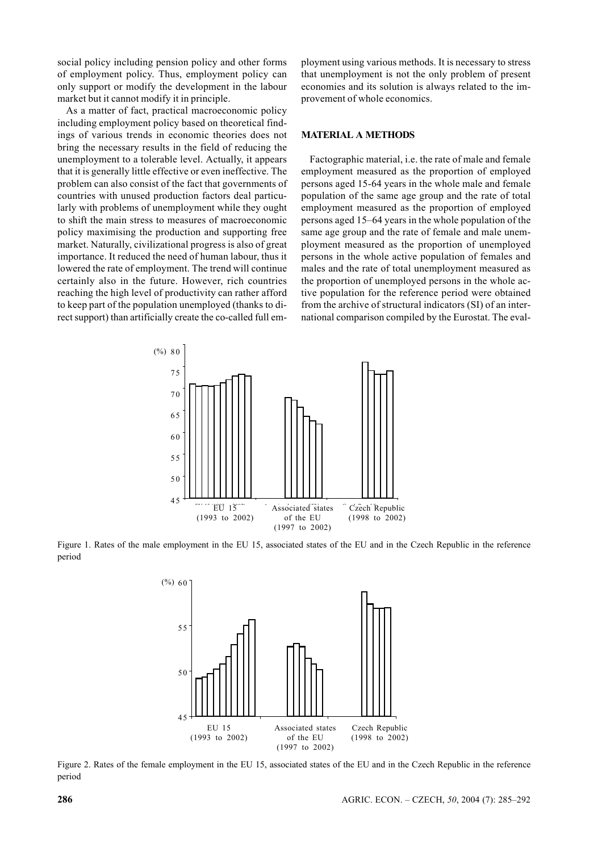social policy including pension policy and other forms of employment policy. Thus, employment policy can only support or modify the development in the labour market but it cannot modify it in principle.

As a matter of fact, practical macroeconomic policy including employment policy based on theoretical findings of various trends in economic theories does not bring the necessary results in the field of reducing the unemployment to a tolerable level. Actually, it appears that it is generally little effective or even ineffective. The problem can also consist of the fact that governments of countries with unused production factors deal particularly with problems of unemployment while they ought to shift the main stress to measures of macroeconomic policy maximising the production and supporting free market. Naturally, civilizational progress is also of great importance. It reduced the need of human labour, thus it lowered the rate of employment. The trend will continue certainly also in the future. However, rich countries reaching the high level of productivity can rather afford to keep part of the population unemployed (thanks to direct support) than artificially create the co-called full employment using various methods. It is necessary to stress that unemployment is not the only problem of present economies and its solution is always related to the improvement of whole economics.

#### **MATERIAL A METHODS**

Factographic material, i.e. the rate of male and female employment measured as the proportion of employed persons aged 15-64 years in the whole male and female population of the same age group and the rate of total employment measured as the proportion of employed persons aged 15–64 years in the whole population of the same age group and the rate of female and male unemployment measured as the proportion of unemployed persons in the whole active population of females and males and the rate of total unemployment measured as the proportion of unemployed persons in the whole active population for the reference period were obtained from the archive of structural indicators (SI) of an international comparison compiled by the Eurostat. The eval-



Figure 1. Rates of the male employment in the EU 15, associated states of the EU and in the Czech Republic in the reference period



Figure 2. Rates of the female employment in the EU 15, associated states of the EU and in the Czech Republic in the reference period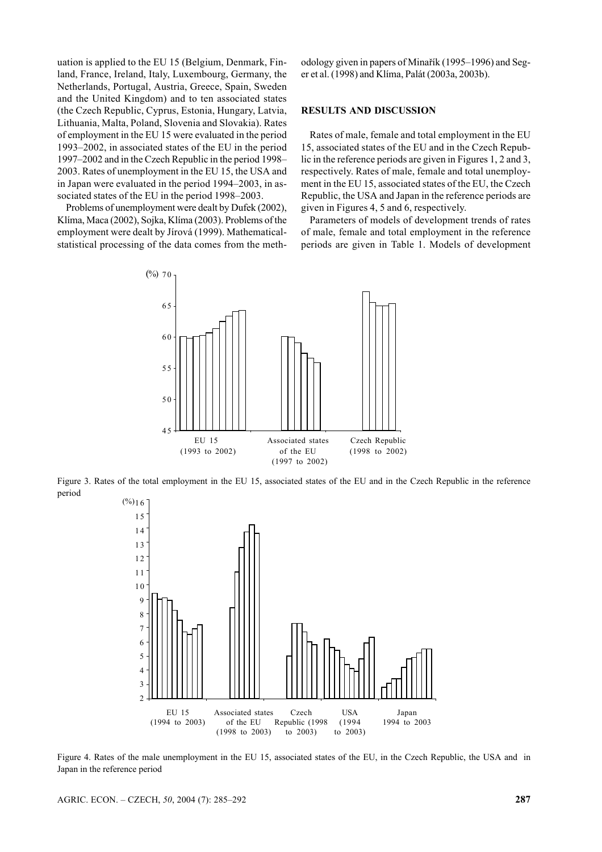uation is applied to the EU 15 (Belgium, Denmark, Finland, France, Ireland, Italy, Luxembourg, Germany, the Netherlands, Portugal, Austria, Greece, Spain, Sweden and the United Kingdom) and to ten associated states (the Czech Republic, Cyprus, Estonia, Hungary, Latvia, Lithuania, Malta, Poland, Slovenia and Slovakia). Rates of employment in the EU 15 were evaluated in the period 1993–2002, in associated states of the EU in the period 1997–2002 and in the Czech Republic in the period 1998– 2003. Rates of unemployment in the EU 15, the USA and in Japan were evaluated in the period 1994–2003, in associated states of the EU in the period 1998–2003.

Problems of unemployment were dealt by Dufek (2002), Klíma, Maca (2002), Sojka, Klíma (2003). Problems of the employment were dealt by Jírová (1999). Mathematicalstatistical processing of the data comes from the methodology given in papers of Minařík (1995–1996) and Seger et al. (1998) and Klíma, Palát (2003a, 2003b).

## **RESULTS AND DISCUSSION**

Rates of male, female and total employment in the EU 15, associated states of the EU and in the Czech Republic in the reference periods are given in Figures 1, 2 and 3, respectively. Rates of male, female and total unemployment in the EU 15, associated states of the EU, the Czech Republic, the USA and Japan in the reference periods are given in Figures 4, 5 and 6, respectively.

Parameters of models of development trends of rates of male, female and total employment in the reference periods are given in Table 1. Models of development



Figure 3. Rates of the total employment in the EU 15, associated states of the EU and in the Czech Republic in the reference period



Figure 4. Rates of the male unemployment in the EU 15, associated states of the EU, in the Czech Republic, the USA and in Japan in the reference period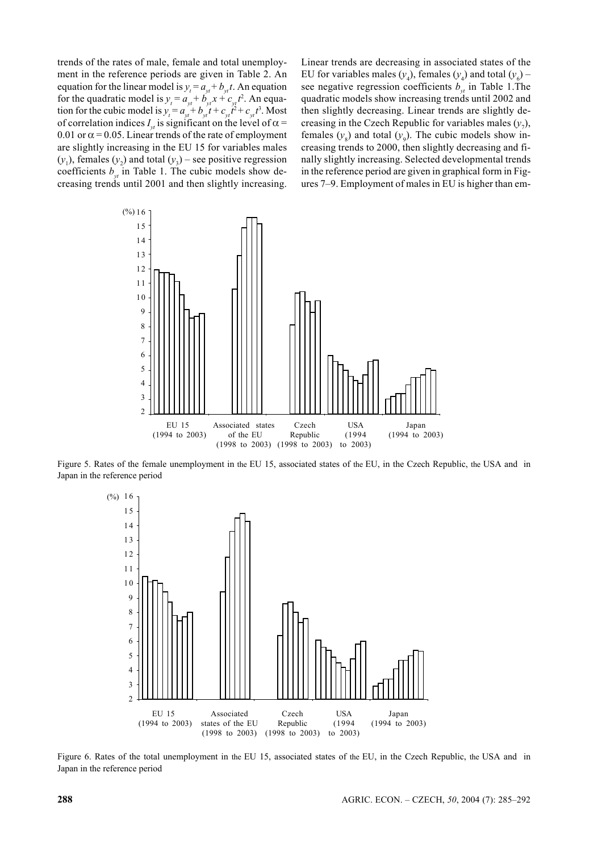trends of the rates of male, female and total unemployment in the reference periods are given in Table 2. An equation for the linear model is  $y_t = a_{yt} + b_{yt}t$ . An equation for the quadratic model is  $y_t = a_{yt} + b_{yt}x + c_{yt}t^2$ . An equation for the cubic model is  $y_t = a_{yt} + b_{yt}t + c_{yt}t^2 + c_{yt}t^3$ . Most of correlation indices  $I_{\nu t}$  is significant on the level of  $\alpha$  = 0.01 or  $\alpha$  = 0.05. Linear trends of the rate of employment are slightly increasing in the EU 15 for variables males  $(y_1)$ , females  $(y_2)$  and total  $(y_3)$  – see positive regression coefficients  $b_{\nu t}$  in Table 1. The cubic models show decreasing trends until 2001 and then slightly increasing. Linear trends are decreasing in associated states of the EU for variables males  $(y_4)$ , females  $(y_4)$  and total  $(y_6)$  – see negative regression coefficients  $b_{\mu}$  in Table 1.The quadratic models show increasing trends until 2002 and then slightly decreasing. Linear trends are slightly decreasing in the Czech Republic for variables males  $(y_7)$ , females  $(y_8)$  and total  $(y_9)$ . The cubic models show increasing trends to 2000, then slightly decreasing and finally slightly increasing. Selected developmental trends in the reference period are given in graphical form in Figures 7–9. Employment of males in EU is higher than em-



Figure 5. Rates of the female unemployment in the EU 15, associated states of the EU, in the Czech Republic, the USA and in Japan in the reference period



Figure 6. Rates of the total unemployment in the EU 15, associated states of the EU, in the Czech Republic, the USA and in Japan in the reference period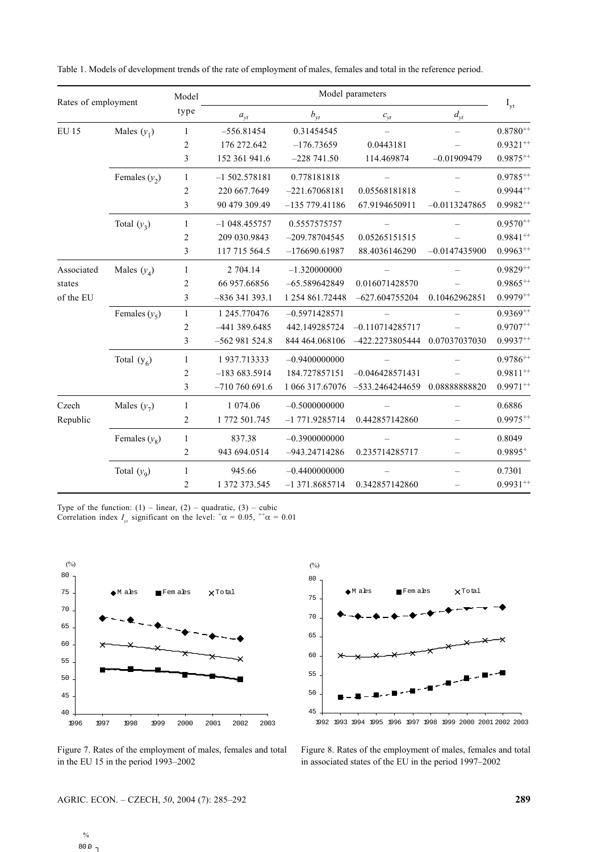| Rates of employment |                 | Model<br>type  | Model parameters |                 |                   |                 |               |
|---------------------|-----------------|----------------|------------------|-----------------|-------------------|-----------------|---------------|
|                     |                 |                | $a_{vt}$         | $b_{vt}$        | $c_{vt}$          | $d_{yt}$        | $I_{yt}$      |
| <b>EU 15</b>        | Males $(y_1)$   | $\mathbf{1}$   | $-556.81454$     | 0.31454545      |                   |                 | $0.8780^{++}$ |
|                     |                 | 2              | 176 272.642      | $-176.73659$    | 0.0443181         |                 | $0.9321^{++}$ |
|                     |                 | 3              | 152 361 941.6    | $-228741.50$    | 114.469874        | $-0.01909479$   | $0.9875^{++}$ |
|                     | Females $(y_2)$ | 1              | $-1502.578181$   | 0.778181818     |                   |                 | $0.9785^{++}$ |
|                     |                 | $\overline{c}$ | 220 667.7649     | $-221.67068181$ | 0.05568181818     |                 | $0.9944^{++}$ |
|                     |                 | 3              | 90 479 309.49    | $-135779.41186$ | 67.9194650911     | $-0.0113247865$ | $0.9982^{++}$ |
|                     | Total $(y_3)$   | 1              | $-1048.455757$   | 0.5557575757    |                   |                 | $0.9570^{++}$ |
|                     |                 | 2              | 209 030.9843     | $-209.78704545$ | 0.05265151515     |                 | $0.9841^{++}$ |
|                     |                 | 3              | 117 715 564.5    | $-176690.61987$ | 88.4036146290     | $-0.0147435900$ | $0.9963^{++}$ |
| Associated          | Males $(y_4)$   | 1              | 2 704.14         | $-1.320000000$  |                   |                 | $0.9829^{++}$ |
| states              |                 | 2              | 66 957.66856     | $-65.589642849$ | 0.016071428570    |                 | $0.9865^{++}$ |
| of the EU           |                 | 3              | $-836341393.1$   | 1 254 861.72448 | $-627.604755204$  | 0.10462962851   | $0.9979^{++}$ |
|                     | Females $(y_5)$ | $\mathbf{1}$   | 1 245.770476     | $-0.5971428571$ |                   |                 | $0.9369^{++}$ |
|                     |                 | 2              | -441 389.6485    | 442.149285724   | $-0.110714285717$ |                 | $0.9707^{++}$ |
|                     |                 | 3              | $-562981524.8$   | 844 464.068106  | -422.2273805444   | 0.07037037030   | $0.9937^{++}$ |
|                     | Total $(y_6)$   | $\mathbf{1}$   | 1937.713333      | $-0.9400000000$ |                   |                 | $0.9786^{++}$ |
|                     |                 | 2              | $-183683.5914$   | 184.727857151   | $-0.046428571431$ |                 | $0.9811^{++}$ |
|                     |                 | 3              | $-710760691.6$   | 1 066 317.67076 | -533.2464244659   | 0.08888888820   | $0.9971^{++}$ |
| Czech               | Males $(y_7)$   | 1              | 1 074.06         | $-0.5000000000$ |                   |                 | 0.6886        |
| Republic            |                 | 2              | 1 772 501.745    | $-1771.9285714$ | 0.442857142860    |                 | $0.9975^{++}$ |
|                     | Females $(y_8)$ | $\mathbf{1}$   | 837.38           | $-0.3900000000$ |                   |                 | 0.8049        |
|                     |                 | $\overline{c}$ | 943 694.0514     | -943.24714286   | 0.235714285717    |                 | $0.9895^{+}$  |
|                     | Total $(y_q)$   | $\mathbf{1}$   | 945.66           | $-0.4400000000$ |                   |                 | 0.7301        |
|                     |                 | 2              | 1 372 373.545    | $-1371.8685714$ | 0.342857142860    |                 | $0.9931^{++}$ |

Table 1. Models of development trends of the rate of employment of males, females and total in the reference period.

Type of the function:  $(1)$  – linear,  $(2)$  – quadratic,  $(3)$  – cubic Correlation index  $I_{\nu t}$  significant on the level:  $^+\alpha = 0.05$ ,  $^+\alpha = 0.01$ 







Figure 8. Rates of the employment of males, females and total in associated states of the EU in the period 1997–2002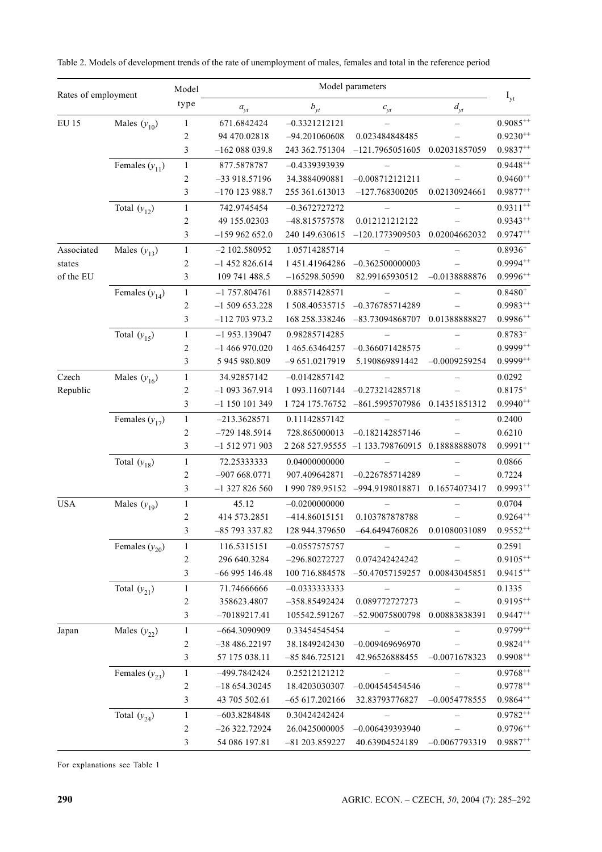| Rates of employment |                    | Model                   | Model parameters |                                  |                                                 |                 | $I_{yt}$      |
|---------------------|--------------------|-------------------------|------------------|----------------------------------|-------------------------------------------------|-----------------|---------------|
|                     |                    | type                    | $a_{yt}$         | $b_{yt}$<br>$d_{vt}$<br>$c_{yt}$ |                                                 |                 |               |
| EU 15               | Males $(y_{10})$   | 1                       | 671.6842424      | $-0.3321212121$                  |                                                 |                 | $0.9085^{++}$ |
|                     |                    | 2                       | 94 470.02818     | $-94.201060608$                  | 0.023484848485                                  |                 | $0.9230^{++}$ |
|                     |                    | 3                       | $-162088039.8$   | 243 362.751304                   | $-121.7965051605$                               | 0.02031857059   | $0.9837^{++}$ |
|                     | Females $(y_{11})$ | $\mathbf{1}$            | 877.5878787      | $-0.4339393939$                  |                                                 |                 | $0.9448^{++}$ |
|                     |                    | 2                       | $-33918.57196$   | 34.3884090881                    | $-0.008712121211$                               |                 | $0.9460^{++}$ |
|                     |                    | 3                       | $-170$ 123 988.7 | 255 361.613013                   | $-127.768300205$                                | 0.02130924661   | $0.9877^{++}$ |
|                     | Total $(y_{12})$   | $\mathbf{1}$            | 742.9745454      | $-0.3672727272$                  |                                                 |                 | $0.9311^{++}$ |
|                     |                    | 2                       | 49 155.02303     | -48.815757578                    | 0.012121212122                                  |                 | $0.9343^{++}$ |
|                     |                    | 3                       | $-159962652.0$   | 240 149.630615                   | $-120.1773909503$                               | 0.02004662032   | $0.9747^{++}$ |
| Associated          | Males $(y_{13})$   | $\mathbf{1}$            | $-2$ 102.580952  | 1.05714285714                    |                                                 |                 | $0.8936^{+}$  |
| states              |                    | 2                       | $-1452826.614$   | 1451.41964286                    | $-0.362500000003$                               |                 | $0.9994^{++}$ |
| of the EU           |                    | 3                       | 109 741 488.5    | $-165298.50590$                  | 82.99165930512                                  | $-0.0138888876$ | $0.9996^{++}$ |
|                     | Females $(y_{14})$ | $\mathbf{1}$            | $-1757.804761$   | 0.88571428571                    |                                                 |                 | $0.8480^{+}$  |
|                     |                    | 2                       | $-1$ 509 653.228 | 1508.40535715                    | $-0.376785714289$                               |                 | $0.9983^{++}$ |
|                     |                    | 3                       | $-112703973.2$   | 168 258.338246                   | -83.73094868707                                 | 0.01388888827   | $0.9986^{++}$ |
|                     | Total $(y_{15})$   | $\mathbf{1}$            | $-1953.139047$   | 0.98285714285                    |                                                 |                 | $0.8783^{+}$  |
|                     |                    | 2                       | $-1466970.020$   | 1465.63464257                    | $-0.366071428575$                               |                 | $0.9999^{++}$ |
|                     |                    | 3                       | 5 945 980.809    | -9 651.0217919                   | 5.190869891442                                  | $-0.0009259254$ | $0.9999^{++}$ |
| Czech               | Males $(y_{16})$   | $\mathbf{1}$            | 34.92857142      | $-0.0142857142$                  |                                                 |                 | 0.0292        |
| Republic            |                    | 2                       | $-1093367.914$   | 1 093.11607144                   | $-0.273214285718$                               |                 | $0.8175^{+}$  |
|                     |                    | 3                       | $-1$ 150 101 349 | 1 724 175.76752                  | -861.5995707986 0.14351851312                   |                 | $0.9940^{++}$ |
|                     | Females $(y_{17})$ | $\mathbf{1}$            | $-213.3628571$   | 0.11142857142                    |                                                 |                 | 0.2400        |
|                     |                    | $\boldsymbol{2}$        | -729 148.5914    | 728.865000013                    | $-0.182142857146$                               |                 | 0.6210        |
|                     |                    | 3                       | $-1$ 512 971 903 |                                  | 2 268 527.95555 -1 133.798760915 0.188888888078 |                 | $0.9991^{++}$ |
|                     | Total $(y_{18})$   | $\mathbf{1}$            | 72.25333333      | 0.04000000000                    |                                                 |                 | 0.0866        |
|                     |                    | 2                       | $-907668.0771$   | 907.409642871                    | $-0.226785714289$                               |                 | 0.7224        |
|                     |                    | 3                       | $-1$ 327 826 560 | 1 990 789.95152                  | -994.9198018871                                 | 0.16574073417   | $0.9993^{++}$ |
| <b>USA</b>          | Males $(y_{19})$   | $\mathbf{1}$            | 45.12            | $-0.0200000000$                  |                                                 |                 | 0.0704        |
|                     |                    | $\overline{c}$          | 414 573.2851     | $-414.86015151$                  | 0.103787878788                                  |                 | $0.9264^{++}$ |
|                     |                    | 3                       | -85 793 337.82   | 128 944.379650                   | –64.6494760826                                  | 0.01080031089   | $0.9552^{++}$ |
|                     | Females $(y_{20})$ | $\mathbf{1}$            | 116.5315151      | $-0.0557575757$                  |                                                 |                 | 0.2591        |
|                     |                    | $\overline{\mathbf{c}}$ | 296 640.3284     | $-296.80272727$                  | 0.074242424242                                  |                 | $0.9105^{++}$ |
|                     |                    | $\mathfrak{Z}$          | $-66995146.48$   | 100 716.884578                   | -50.47057159257                                 | 0.00843045851   | $0.9415^{++}$ |
|                     | Total $(y_{21})$   | $\mathbf{1}$            | 71.74666666      | $-0.0333333333$                  |                                                 |                 | 0.1335        |
|                     |                    | 2                       | 358623.4807      | -358.85492424                    | 0.089772727273                                  |                 | $0.9195^{++}$ |
|                     |                    | 3                       | $-70189217.41$   | 105542.591267                    | -52.90075800798                                 | 0.00883838391   | $0.9447^{++}$ |
| Japan               | Males $(y_{22})$   | $\mathbf{1}$            | $-664.3090909$   | 0.33454545454                    |                                                 |                 | $0.9799^{++}$ |
|                     |                    | 2                       | $-38486.22197$   | 38.1849242430                    | $-0.009469696970$                               |                 | $0.9824^{++}$ |
|                     |                    | 3                       | 57 175 038.11    | $-85846.725121$                  | 42.96526888455                                  | $-0.0071678323$ | $0.9908^{++}$ |
|                     | Females $(y_{23})$ | $\mathbf{1}$            | -499.7842424     | 0.25212121212                    |                                                 |                 | $0.9768^{++}$ |
|                     |                    | 2                       | $-18654.30245$   | 18.4203030307                    | $-0.004545454546$                               |                 | $0.9778^{++}$ |
|                     |                    | $\mathfrak{Z}$          | 43 705 502.61    | $-65617.202166$                  | 32.83793776827                                  | $-0.0054778555$ | $0.9864^{++}$ |
|                     | Total $(y_{24})$   | $\mathbf{1}$            | $-603.8284848$   | 0.30424242424                    |                                                 |                 | $0.9782^{++}$ |
|                     |                    | 2                       | $-26$ 322.72924  | 26.0425000005                    | $-0.006439393940$                               |                 | $0.9796^{++}$ |
|                     |                    | 3                       | 54 086 197.81    | $-81203.859227$                  | 40.63904524189                                  | $-0.0067793319$ | $0.9887^{++}$ |

Table 2. Models of development trends of the rate of unemployment of males, females and total in the reference period

For explanations see Table 1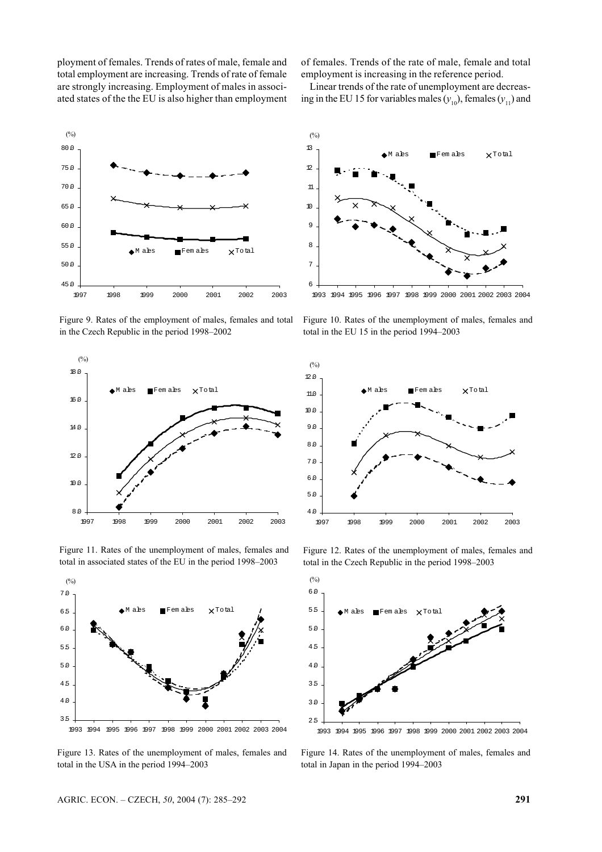ployment of females. Trends of rates of male, female and total employment are increasing. Trends of rate of female are strongly increasing. Employment of males in associated states of the the EU is also higher than employment of females. Trends of the rate of male, female and total employment is increasing in the reference period.

Linear trends of the rate of unemployment are decreasing in the EU 15 for variables males  $(y_{10})$ , females  $(y_{11})$  and



Figure 9. Rates of the employment of males, females and total in the Czech Republic in the period 1998–2002



Figure 11. Rates of the unemployment of males, females and total in associated states of the EU in the period 1998–2003



Figure 13. Rates of the unemployment of males, females and total in the USA in the period 1994–2003



1993 1994 1995 1996 1997 1998 1999 2000 2001 2002 2003 2004

Figure 10. Rates of the unemployment of males, females and total in the EU 15 in the period 1994–2003



Figure 12. Rates of the unemployment of males, females and total in the Czech Republic in the period 1998–2003



Figure 14. Rates of the unemployment of males, females and total in Japan in the period 1994–2003